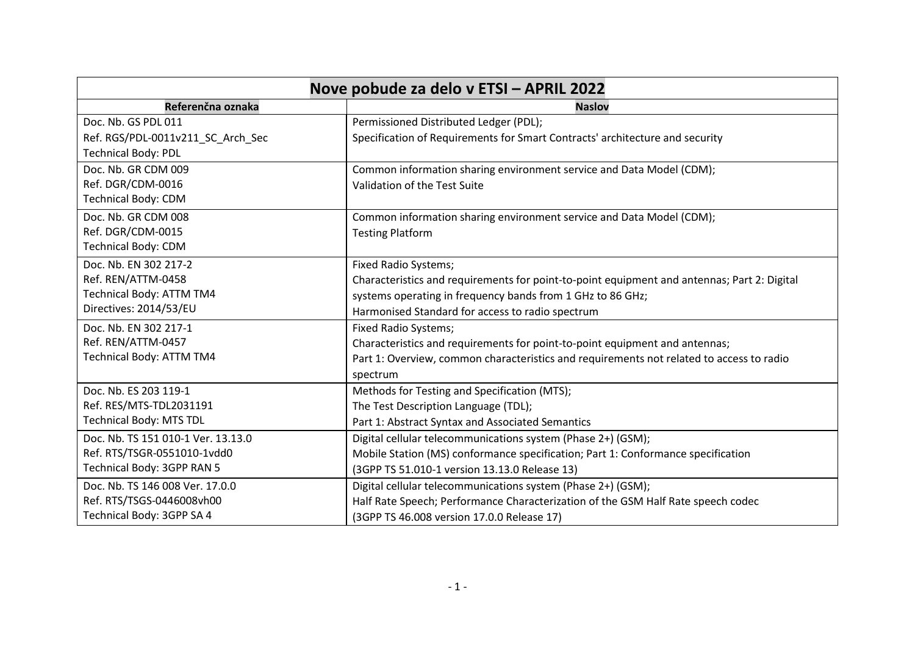| Nove pobude za delo v ETSI - APRIL 2022 |                                                                                             |
|-----------------------------------------|---------------------------------------------------------------------------------------------|
| Referenčna oznaka                       | <b>Naslov</b>                                                                               |
| Doc. Nb. GS PDL 011                     | Permissioned Distributed Ledger (PDL);                                                      |
| Ref. RGS/PDL-0011v211_SC_Arch_Sec       | Specification of Requirements for Smart Contracts' architecture and security                |
| <b>Technical Body: PDL</b>              |                                                                                             |
| Doc. Nb. GR CDM 009                     | Common information sharing environment service and Data Model (CDM);                        |
| Ref. DGR/CDM-0016                       | Validation of the Test Suite                                                                |
| <b>Technical Body: CDM</b>              |                                                                                             |
| Doc. Nb. GR CDM 008                     | Common information sharing environment service and Data Model (CDM);                        |
| Ref. DGR/CDM-0015                       | <b>Testing Platform</b>                                                                     |
| <b>Technical Body: CDM</b>              |                                                                                             |
| Doc. Nb. EN 302 217-2                   | <b>Fixed Radio Systems;</b>                                                                 |
| Ref. REN/ATTM-0458                      | Characteristics and requirements for point-to-point equipment and antennas; Part 2: Digital |
| <b>Technical Body: ATTM TM4</b>         | systems operating in frequency bands from 1 GHz to 86 GHz;                                  |
| Directives: 2014/53/EU                  | Harmonised Standard for access to radio spectrum                                            |
| Doc. Nb. EN 302 217-1                   | <b>Fixed Radio Systems;</b>                                                                 |
| Ref. REN/ATTM-0457                      | Characteristics and requirements for point-to-point equipment and antennas;                 |
| Technical Body: ATTM TM4                | Part 1: Overview, common characteristics and requirements not related to access to radio    |
|                                         | spectrum                                                                                    |
| Doc. Nb. ES 203 119-1                   | Methods for Testing and Specification (MTS);                                                |
| Ref. RES/MTS-TDL2031191                 | The Test Description Language (TDL);                                                        |
| <b>Technical Body: MTS TDL</b>          | Part 1: Abstract Syntax and Associated Semantics                                            |
| Doc. Nb. TS 151 010-1 Ver. 13.13.0      | Digital cellular telecommunications system (Phase 2+) (GSM);                                |
| Ref. RTS/TSGR-0551010-1vdd0             | Mobile Station (MS) conformance specification; Part 1: Conformance specification            |
| Technical Body: 3GPP RAN 5              | (3GPP TS 51.010-1 version 13.13.0 Release 13)                                               |
| Doc. Nb. TS 146 008 Ver. 17.0.0         | Digital cellular telecommunications system (Phase 2+) (GSM);                                |
| Ref. RTS/TSGS-0446008vh00               | Half Rate Speech; Performance Characterization of the GSM Half Rate speech codec            |
| Technical Body: 3GPP SA 4               | (3GPP TS 46.008 version 17.0.0 Release 17)                                                  |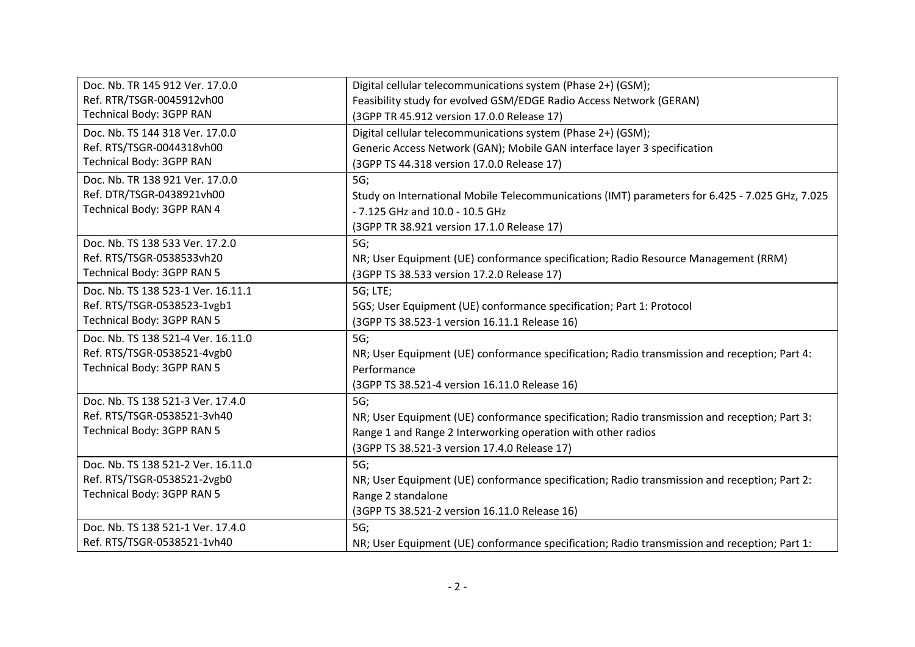| Doc. Nb. TR 145 912 Ver. 17.0.0    | Digital cellular telecommunications system (Phase 2+) (GSM);                                   |
|------------------------------------|------------------------------------------------------------------------------------------------|
| Ref. RTR/TSGR-0045912vh00          | Feasibility study for evolved GSM/EDGE Radio Access Network (GERAN)                            |
| Technical Body: 3GPP RAN           | (3GPP TR 45.912 version 17.0.0 Release 17)                                                     |
| Doc. Nb. TS 144 318 Ver. 17.0.0    | Digital cellular telecommunications system (Phase 2+) (GSM);                                   |
| Ref. RTS/TSGR-0044318vh00          | Generic Access Network (GAN); Mobile GAN interface layer 3 specification                       |
| Technical Body: 3GPP RAN           | (3GPP TS 44.318 version 17.0.0 Release 17)                                                     |
| Doc. Nb. TR 138 921 Ver. 17.0.0    | 5G;                                                                                            |
| Ref. DTR/TSGR-0438921vh00          | Study on International Mobile Telecommunications (IMT) parameters for 6.425 - 7.025 GHz, 7.025 |
| Technical Body: 3GPP RAN 4         | - 7.125 GHz and 10.0 - 10.5 GHz                                                                |
|                                    | (3GPP TR 38.921 version 17.1.0 Release 17)                                                     |
| Doc. Nb. TS 138 533 Ver. 17.2.0    | 5G;                                                                                            |
| Ref. RTS/TSGR-0538533vh20          | NR; User Equipment (UE) conformance specification; Radio Resource Management (RRM)             |
| Technical Body: 3GPP RAN 5         | (3GPP TS 38.533 version 17.2.0 Release 17)                                                     |
| Doc. Nb. TS 138 523-1 Ver. 16.11.1 | 5G; LTE;                                                                                       |
| Ref. RTS/TSGR-0538523-1vgb1        | 5GS; User Equipment (UE) conformance specification; Part 1: Protocol                           |
| Technical Body: 3GPP RAN 5         | (3GPP TS 38.523-1 version 16.11.1 Release 16)                                                  |
| Doc. Nb. TS 138 521-4 Ver. 16.11.0 | 5G;                                                                                            |
| Ref. RTS/TSGR-0538521-4vgb0        | NR; User Equipment (UE) conformance specification; Radio transmission and reception; Part 4:   |
| Technical Body: 3GPP RAN 5         | Performance                                                                                    |
|                                    | (3GPP TS 38.521-4 version 16.11.0 Release 16)                                                  |
| Doc. Nb. TS 138 521-3 Ver. 17.4.0  | 5G;                                                                                            |
| Ref. RTS/TSGR-0538521-3vh40        | NR; User Equipment (UE) conformance specification; Radio transmission and reception; Part 3:   |
| Technical Body: 3GPP RAN 5         | Range 1 and Range 2 Interworking operation with other radios                                   |
|                                    | (3GPP TS 38.521-3 version 17.4.0 Release 17)                                                   |
| Doc. Nb. TS 138 521-2 Ver. 16.11.0 | 5G;                                                                                            |
| Ref. RTS/TSGR-0538521-2vgb0        | NR; User Equipment (UE) conformance specification; Radio transmission and reception; Part 2:   |
| Technical Body: 3GPP RAN 5         | Range 2 standalone                                                                             |
|                                    | (3GPP TS 38.521-2 version 16.11.0 Release 16)                                                  |
| Doc. Nb. TS 138 521-1 Ver. 17.4.0  | 5G;                                                                                            |
| Ref. RTS/TSGR-0538521-1vh40        | NR; User Equipment (UE) conformance specification; Radio transmission and reception; Part 1:   |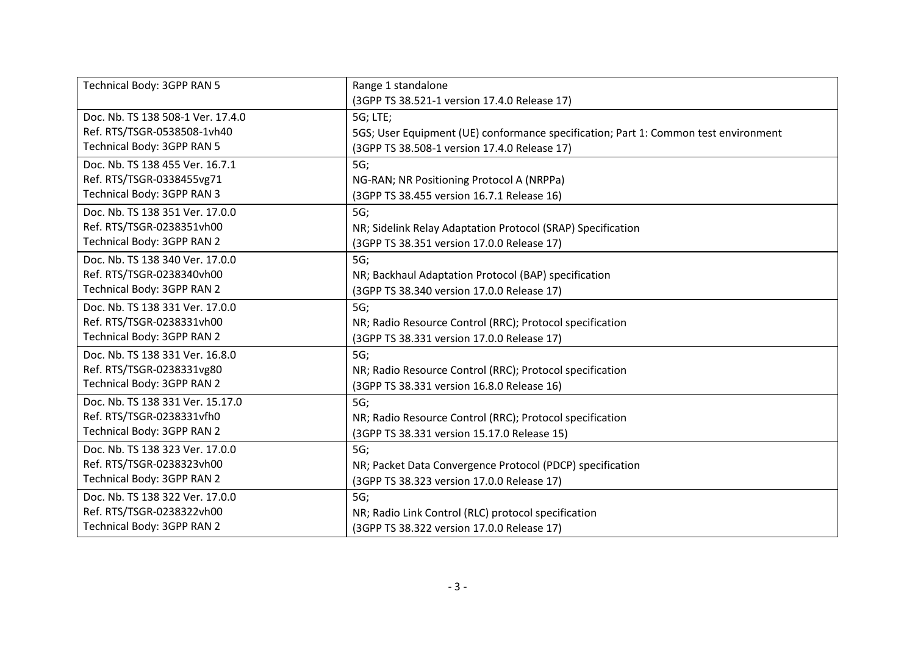| Technical Body: 3GPP RAN 5<br>Range 1 standalone<br>(3GPP TS 38.521-1 version 17.4.0 Release 17)<br>Doc. Nb. TS 138 508-1 Ver. 17.4.0<br>5G; LTE;<br>Ref. RTS/TSGR-0538508-1vh40<br>5GS; User Equipment (UE) conformance specification; Part 1: Common test environment<br>Technical Body: 3GPP RAN 5<br>(3GPP TS 38.508-1 version 17.4.0 Release 17)<br>Doc. Nb. TS 138 455 Ver. 16.7.1<br>5G;<br>Ref. RTS/TSGR-0338455vg71<br>NG-RAN; NR Positioning Protocol A (NRPPa)<br>Technical Body: 3GPP RAN 3<br>(3GPP TS 38.455 version 16.7.1 Release 16)<br>Doc. Nb. TS 138 351 Ver. 17.0.0<br>5G; |                           |                                                             |
|-------------------------------------------------------------------------------------------------------------------------------------------------------------------------------------------------------------------------------------------------------------------------------------------------------------------------------------------------------------------------------------------------------------------------------------------------------------------------------------------------------------------------------------------------------------------------------------------------|---------------------------|-------------------------------------------------------------|
|                                                                                                                                                                                                                                                                                                                                                                                                                                                                                                                                                                                                 |                           |                                                             |
|                                                                                                                                                                                                                                                                                                                                                                                                                                                                                                                                                                                                 |                           |                                                             |
|                                                                                                                                                                                                                                                                                                                                                                                                                                                                                                                                                                                                 |                           |                                                             |
|                                                                                                                                                                                                                                                                                                                                                                                                                                                                                                                                                                                                 |                           |                                                             |
|                                                                                                                                                                                                                                                                                                                                                                                                                                                                                                                                                                                                 |                           |                                                             |
|                                                                                                                                                                                                                                                                                                                                                                                                                                                                                                                                                                                                 |                           |                                                             |
|                                                                                                                                                                                                                                                                                                                                                                                                                                                                                                                                                                                                 |                           |                                                             |
|                                                                                                                                                                                                                                                                                                                                                                                                                                                                                                                                                                                                 |                           |                                                             |
|                                                                                                                                                                                                                                                                                                                                                                                                                                                                                                                                                                                                 |                           |                                                             |
|                                                                                                                                                                                                                                                                                                                                                                                                                                                                                                                                                                                                 |                           |                                                             |
|                                                                                                                                                                                                                                                                                                                                                                                                                                                                                                                                                                                                 | Ref. RTS/TSGR-0238351vh00 | NR; Sidelink Relay Adaptation Protocol (SRAP) Specification |
| Technical Body: 3GPP RAN 2<br>(3GPP TS 38.351 version 17.0.0 Release 17)                                                                                                                                                                                                                                                                                                                                                                                                                                                                                                                        |                           |                                                             |
| Doc. Nb. TS 138 340 Ver. 17.0.0<br>5G;                                                                                                                                                                                                                                                                                                                                                                                                                                                                                                                                                          |                           |                                                             |
| Ref. RTS/TSGR-0238340vh00<br>NR; Backhaul Adaptation Protocol (BAP) specification                                                                                                                                                                                                                                                                                                                                                                                                                                                                                                               |                           |                                                             |
| Technical Body: 3GPP RAN 2<br>(3GPP TS 38.340 version 17.0.0 Release 17)                                                                                                                                                                                                                                                                                                                                                                                                                                                                                                                        |                           |                                                             |
| Doc. Nb. TS 138 331 Ver. 17.0.0<br>5G;                                                                                                                                                                                                                                                                                                                                                                                                                                                                                                                                                          |                           |                                                             |
| Ref. RTS/TSGR-0238331vh00<br>NR; Radio Resource Control (RRC); Protocol specification                                                                                                                                                                                                                                                                                                                                                                                                                                                                                                           |                           |                                                             |
| Technical Body: 3GPP RAN 2<br>(3GPP TS 38.331 version 17.0.0 Release 17)                                                                                                                                                                                                                                                                                                                                                                                                                                                                                                                        |                           |                                                             |
| Doc. Nb. TS 138 331 Ver. 16.8.0<br>5G;                                                                                                                                                                                                                                                                                                                                                                                                                                                                                                                                                          |                           |                                                             |
| Ref. RTS/TSGR-0238331vg80<br>NR; Radio Resource Control (RRC); Protocol specification                                                                                                                                                                                                                                                                                                                                                                                                                                                                                                           |                           |                                                             |
| Technical Body: 3GPP RAN 2<br>(3GPP TS 38.331 version 16.8.0 Release 16)                                                                                                                                                                                                                                                                                                                                                                                                                                                                                                                        |                           |                                                             |
| Doc. Nb. TS 138 331 Ver. 15.17.0<br>5G;                                                                                                                                                                                                                                                                                                                                                                                                                                                                                                                                                         |                           |                                                             |
| Ref. RTS/TSGR-0238331vfh0<br>NR; Radio Resource Control (RRC); Protocol specification                                                                                                                                                                                                                                                                                                                                                                                                                                                                                                           |                           |                                                             |
| Technical Body: 3GPP RAN 2<br>(3GPP TS 38.331 version 15.17.0 Release 15)                                                                                                                                                                                                                                                                                                                                                                                                                                                                                                                       |                           |                                                             |
| Doc. Nb. TS 138 323 Ver. 17.0.0<br>5G;                                                                                                                                                                                                                                                                                                                                                                                                                                                                                                                                                          |                           |                                                             |
| Ref. RTS/TSGR-0238323vh00<br>NR; Packet Data Convergence Protocol (PDCP) specification                                                                                                                                                                                                                                                                                                                                                                                                                                                                                                          |                           |                                                             |
| Technical Body: 3GPP RAN 2<br>(3GPP TS 38.323 version 17.0.0 Release 17)                                                                                                                                                                                                                                                                                                                                                                                                                                                                                                                        |                           |                                                             |
| Doc. Nb. TS 138 322 Ver. 17.0.0<br>5G                                                                                                                                                                                                                                                                                                                                                                                                                                                                                                                                                           |                           |                                                             |
| Ref. RTS/TSGR-0238322vh00<br>NR; Radio Link Control (RLC) protocol specification                                                                                                                                                                                                                                                                                                                                                                                                                                                                                                                |                           |                                                             |
| Technical Body: 3GPP RAN 2<br>(3GPP TS 38.322 version 17.0.0 Release 17)                                                                                                                                                                                                                                                                                                                                                                                                                                                                                                                        |                           |                                                             |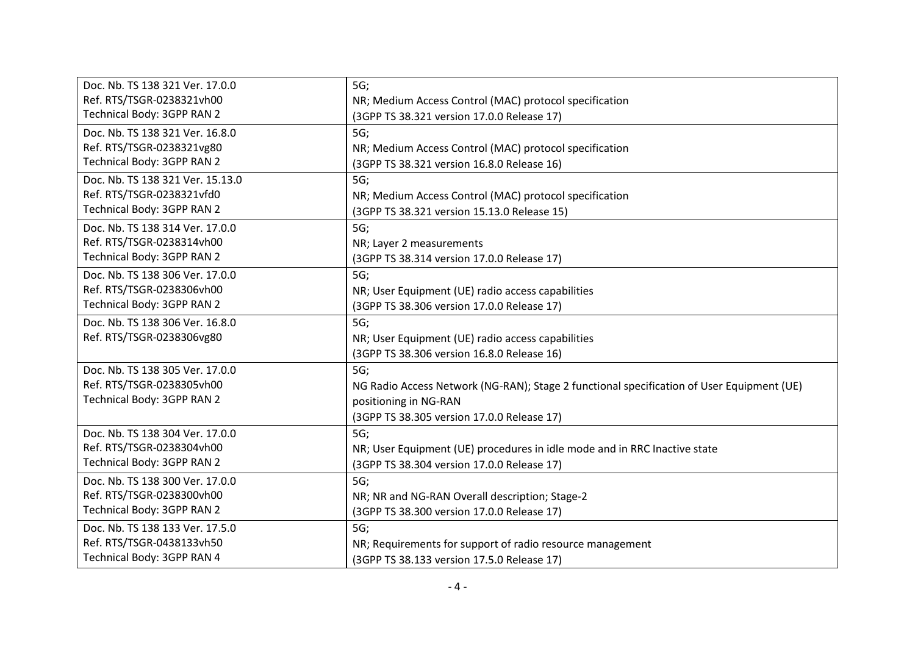| Doc. Nb. TS 138 321 Ver. 17.0.0  | 5G;                                                                                       |
|----------------------------------|-------------------------------------------------------------------------------------------|
| Ref. RTS/TSGR-0238321vh00        | NR; Medium Access Control (MAC) protocol specification                                    |
| Technical Body: 3GPP RAN 2       | (3GPP TS 38.321 version 17.0.0 Release 17)                                                |
| Doc. Nb. TS 138 321 Ver. 16.8.0  | 5G;                                                                                       |
| Ref. RTS/TSGR-0238321vg80        | NR; Medium Access Control (MAC) protocol specification                                    |
| Technical Body: 3GPP RAN 2       | (3GPP TS 38.321 version 16.8.0 Release 16)                                                |
| Doc. Nb. TS 138 321 Ver. 15.13.0 | 5G;                                                                                       |
| Ref. RTS/TSGR-0238321vfd0        | NR; Medium Access Control (MAC) protocol specification                                    |
| Technical Body: 3GPP RAN 2       | (3GPP TS 38.321 version 15.13.0 Release 15)                                               |
| Doc. Nb. TS 138 314 Ver. 17.0.0  | 5G;                                                                                       |
| Ref. RTS/TSGR-0238314vh00        | NR; Layer 2 measurements                                                                  |
| Technical Body: 3GPP RAN 2       | (3GPP TS 38.314 version 17.0.0 Release 17)                                                |
| Doc. Nb. TS 138 306 Ver. 17.0.0  | 5G;                                                                                       |
| Ref. RTS/TSGR-0238306vh00        | NR; User Equipment (UE) radio access capabilities                                         |
| Technical Body: 3GPP RAN 2       | (3GPP TS 38.306 version 17.0.0 Release 17)                                                |
| Doc. Nb. TS 138 306 Ver. 16.8.0  | 5G;                                                                                       |
| Ref. RTS/TSGR-0238306vg80        | NR; User Equipment (UE) radio access capabilities                                         |
|                                  | (3GPP TS 38.306 version 16.8.0 Release 16)                                                |
| Doc. Nb. TS 138 305 Ver. 17.0.0  | 5G;                                                                                       |
| Ref. RTS/TSGR-0238305vh00        | NG Radio Access Network (NG-RAN); Stage 2 functional specification of User Equipment (UE) |
| Technical Body: 3GPP RAN 2       | positioning in NG-RAN                                                                     |
|                                  | (3GPP TS 38.305 version 17.0.0 Release 17)                                                |
| Doc. Nb. TS 138 304 Ver. 17.0.0  | 5G;                                                                                       |
| Ref. RTS/TSGR-0238304vh00        | NR; User Equipment (UE) procedures in idle mode and in RRC Inactive state                 |
| Technical Body: 3GPP RAN 2       | (3GPP TS 38.304 version 17.0.0 Release 17)                                                |
| Doc. Nb. TS 138 300 Ver. 17.0.0  | 5G;                                                                                       |
| Ref. RTS/TSGR-0238300vh00        | NR; NR and NG-RAN Overall description; Stage-2                                            |
| Technical Body: 3GPP RAN 2       | (3GPP TS 38.300 version 17.0.0 Release 17)                                                |
| Doc. Nb. TS 138 133 Ver. 17.5.0  | 5G;                                                                                       |
| Ref. RTS/TSGR-0438133vh50        | NR; Requirements for support of radio resource management                                 |
| Technical Body: 3GPP RAN 4       | (3GPP TS 38.133 version 17.5.0 Release 17)                                                |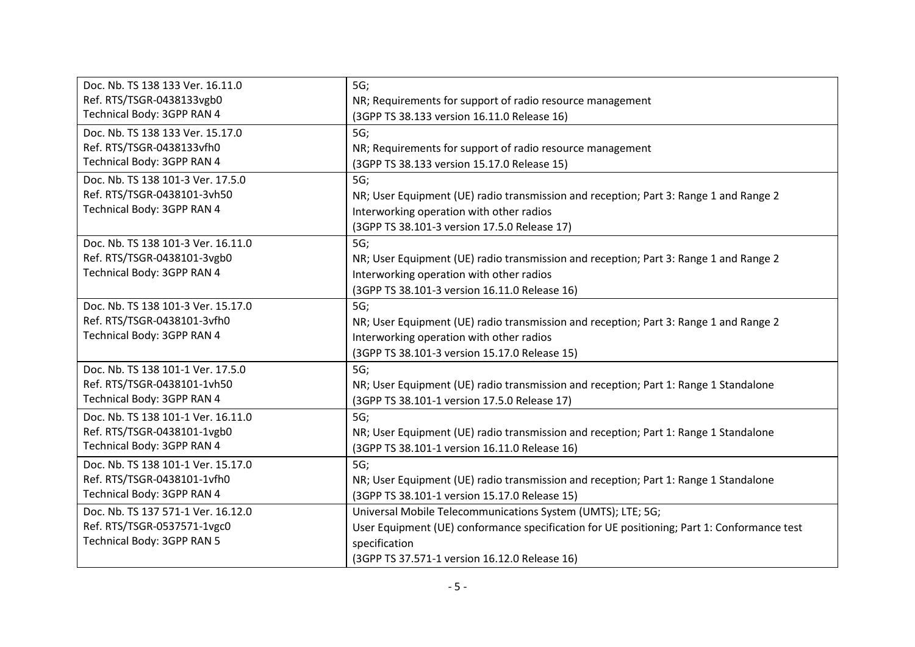| Doc. Nb. TS 138 133 Ver. 16.11.0   | 5G;                                                                                        |
|------------------------------------|--------------------------------------------------------------------------------------------|
| Ref. RTS/TSGR-0438133vgb0          | NR; Requirements for support of radio resource management                                  |
| Technical Body: 3GPP RAN 4         | (3GPP TS 38.133 version 16.11.0 Release 16)                                                |
| Doc. Nb. TS 138 133 Ver. 15.17.0   | 5G;                                                                                        |
| Ref. RTS/TSGR-0438133vfh0          | NR; Requirements for support of radio resource management                                  |
| Technical Body: 3GPP RAN 4         | (3GPP TS 38.133 version 15.17.0 Release 15)                                                |
| Doc. Nb. TS 138 101-3 Ver. 17.5.0  | 5G;                                                                                        |
| Ref. RTS/TSGR-0438101-3vh50        | NR; User Equipment (UE) radio transmission and reception; Part 3: Range 1 and Range 2      |
| Technical Body: 3GPP RAN 4         | Interworking operation with other radios                                                   |
|                                    | (3GPP TS 38.101-3 version 17.5.0 Release 17)                                               |
| Doc. Nb. TS 138 101-3 Ver. 16.11.0 | 5G;                                                                                        |
| Ref. RTS/TSGR-0438101-3vgb0        | NR; User Equipment (UE) radio transmission and reception; Part 3: Range 1 and Range 2      |
| Technical Body: 3GPP RAN 4         | Interworking operation with other radios                                                   |
|                                    | (3GPP TS 38.101-3 version 16.11.0 Release 16)                                              |
| Doc. Nb. TS 138 101-3 Ver. 15.17.0 | 5G;                                                                                        |
| Ref. RTS/TSGR-0438101-3vfh0        | NR; User Equipment (UE) radio transmission and reception; Part 3: Range 1 and Range 2      |
| Technical Body: 3GPP RAN 4         | Interworking operation with other radios                                                   |
|                                    | (3GPP TS 38.101-3 version 15.17.0 Release 15)                                              |
| Doc. Nb. TS 138 101-1 Ver. 17.5.0  | 5G;                                                                                        |
| Ref. RTS/TSGR-0438101-1vh50        | NR; User Equipment (UE) radio transmission and reception; Part 1: Range 1 Standalone       |
| Technical Body: 3GPP RAN 4         | (3GPP TS 38.101-1 version 17.5.0 Release 17)                                               |
| Doc. Nb. TS 138 101-1 Ver. 16.11.0 | 5G;                                                                                        |
| Ref. RTS/TSGR-0438101-1vgb0        | NR; User Equipment (UE) radio transmission and reception; Part 1: Range 1 Standalone       |
| Technical Body: 3GPP RAN 4         | (3GPP TS 38.101-1 version 16.11.0 Release 16)                                              |
| Doc. Nb. TS 138 101-1 Ver. 15.17.0 | 5G;                                                                                        |
| Ref. RTS/TSGR-0438101-1vfh0        | NR; User Equipment (UE) radio transmission and reception; Part 1: Range 1 Standalone       |
| Technical Body: 3GPP RAN 4         | (3GPP TS 38.101-1 version 15.17.0 Release 15)                                              |
| Doc. Nb. TS 137 571-1 Ver. 16.12.0 | Universal Mobile Telecommunications System (UMTS); LTE; 5G;                                |
| Ref. RTS/TSGR-0537571-1vgc0        | User Equipment (UE) conformance specification for UE positioning; Part 1: Conformance test |
| Technical Body: 3GPP RAN 5         | specification                                                                              |
|                                    | (3GPP TS 37.571-1 version 16.12.0 Release 16)                                              |
|                                    |                                                                                            |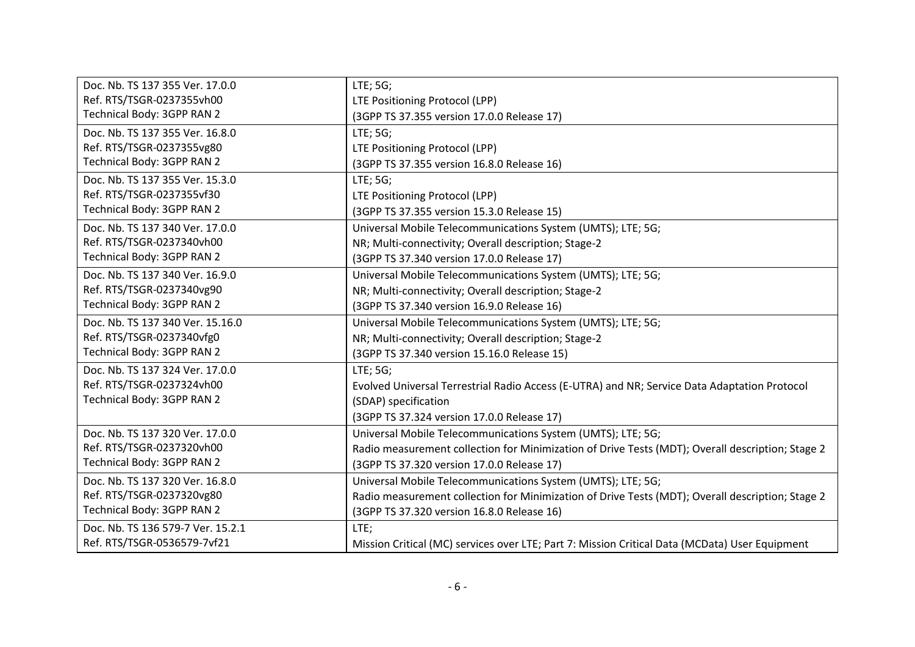| Doc. Nb. TS 137 355 Ver. 17.0.0   | LTE; 5G;                                                                                         |
|-----------------------------------|--------------------------------------------------------------------------------------------------|
| Ref. RTS/TSGR-0237355vh00         | LTE Positioning Protocol (LPP)                                                                   |
| Technical Body: 3GPP RAN 2        | (3GPP TS 37.355 version 17.0.0 Release 17)                                                       |
| Doc. Nb. TS 137 355 Ver. 16.8.0   | LTE; 5G;                                                                                         |
| Ref. RTS/TSGR-0237355vg80         | LTE Positioning Protocol (LPP)                                                                   |
| Technical Body: 3GPP RAN 2        | (3GPP TS 37.355 version 16.8.0 Release 16)                                                       |
| Doc. Nb. TS 137 355 Ver. 15.3.0   | LTE; 5G;                                                                                         |
| Ref. RTS/TSGR-0237355vf30         | LTE Positioning Protocol (LPP)                                                                   |
| Technical Body: 3GPP RAN 2        | (3GPP TS 37.355 version 15.3.0 Release 15)                                                       |
| Doc. Nb. TS 137 340 Ver. 17.0.0   | Universal Mobile Telecommunications System (UMTS); LTE; 5G;                                      |
| Ref. RTS/TSGR-0237340vh00         | NR; Multi-connectivity; Overall description; Stage-2                                             |
| Technical Body: 3GPP RAN 2        | (3GPP TS 37.340 version 17.0.0 Release 17)                                                       |
| Doc. Nb. TS 137 340 Ver. 16.9.0   | Universal Mobile Telecommunications System (UMTS); LTE; 5G;                                      |
| Ref. RTS/TSGR-0237340vg90         | NR; Multi-connectivity; Overall description; Stage-2                                             |
| Technical Body: 3GPP RAN 2        | (3GPP TS 37.340 version 16.9.0 Release 16)                                                       |
| Doc. Nb. TS 137 340 Ver. 15.16.0  | Universal Mobile Telecommunications System (UMTS); LTE; 5G;                                      |
| Ref. RTS/TSGR-0237340vfg0         | NR; Multi-connectivity; Overall description; Stage-2                                             |
| Technical Body: 3GPP RAN 2        | (3GPP TS 37.340 version 15.16.0 Release 15)                                                      |
| Doc. Nb. TS 137 324 Ver. 17.0.0   | LTE; 5G;                                                                                         |
| Ref. RTS/TSGR-0237324vh00         | Evolved Universal Terrestrial Radio Access (E-UTRA) and NR; Service Data Adaptation Protocol     |
| Technical Body: 3GPP RAN 2        | (SDAP) specification                                                                             |
|                                   | (3GPP TS 37.324 version 17.0.0 Release 17)                                                       |
| Doc. Nb. TS 137 320 Ver. 17.0.0   | Universal Mobile Telecommunications System (UMTS); LTE; 5G;                                      |
| Ref. RTS/TSGR-0237320vh00         | Radio measurement collection for Minimization of Drive Tests (MDT); Overall description; Stage 2 |
| Technical Body: 3GPP RAN 2        | (3GPP TS 37.320 version 17.0.0 Release 17)                                                       |
| Doc. Nb. TS 137 320 Ver. 16.8.0   | Universal Mobile Telecommunications System (UMTS); LTE; 5G;                                      |
| Ref. RTS/TSGR-0237320vg80         | Radio measurement collection for Minimization of Drive Tests (MDT); Overall description; Stage 2 |
| Technical Body: 3GPP RAN 2        | (3GPP TS 37.320 version 16.8.0 Release 16)                                                       |
| Doc. Nb. TS 136 579-7 Ver. 15.2.1 | LTE;                                                                                             |
| Ref. RTS/TSGR-0536579-7vf21       | Mission Critical (MC) services over LTE; Part 7: Mission Critical Data (MCData) User Equipment   |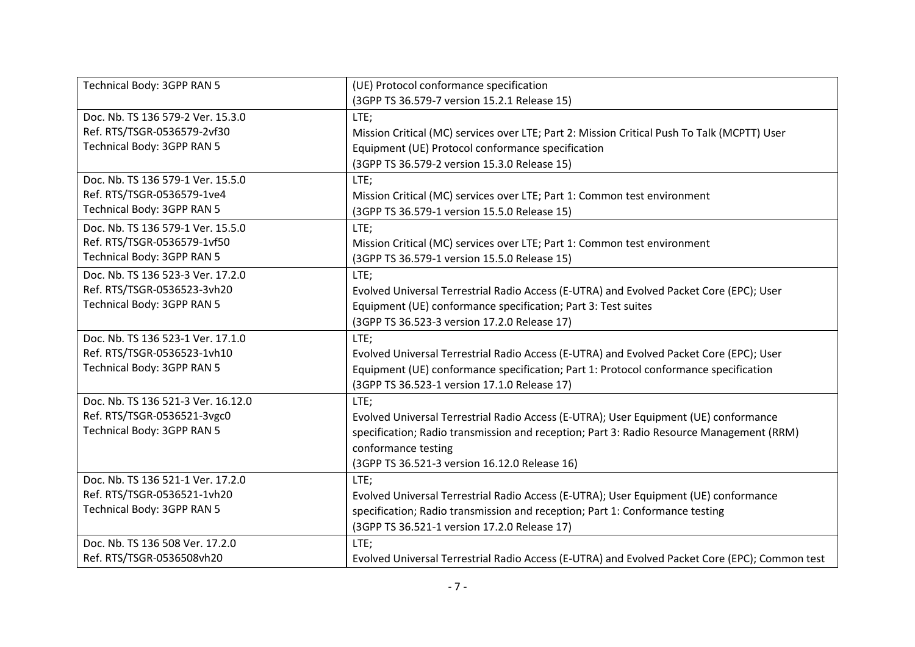| Technical Body: 3GPP RAN 5         | (UE) Protocol conformance specification                                                        |
|------------------------------------|------------------------------------------------------------------------------------------------|
|                                    | (3GPP TS 36.579-7 version 15.2.1 Release 15)                                                   |
| Doc. Nb. TS 136 579-2 Ver. 15.3.0  | LTE;                                                                                           |
| Ref. RTS/TSGR-0536579-2vf30        | Mission Critical (MC) services over LTE; Part 2: Mission Critical Push To Talk (MCPTT) User    |
| Technical Body: 3GPP RAN 5         | Equipment (UE) Protocol conformance specification                                              |
|                                    | (3GPP TS 36.579-2 version 15.3.0 Release 15)                                                   |
| Doc. Nb. TS 136 579-1 Ver. 15.5.0  | LTE;                                                                                           |
| Ref. RTS/TSGR-0536579-1ve4         | Mission Critical (MC) services over LTE; Part 1: Common test environment                       |
| Technical Body: 3GPP RAN 5         | (3GPP TS 36.579-1 version 15.5.0 Release 15)                                                   |
| Doc. Nb. TS 136 579-1 Ver. 15.5.0  | LTE;                                                                                           |
| Ref. RTS/TSGR-0536579-1vf50        | Mission Critical (MC) services over LTE; Part 1: Common test environment                       |
| Technical Body: 3GPP RAN 5         | (3GPP TS 36.579-1 version 15.5.0 Release 15)                                                   |
| Doc. Nb. TS 136 523-3 Ver. 17.2.0  | LTE;                                                                                           |
| Ref. RTS/TSGR-0536523-3vh20        | Evolved Universal Terrestrial Radio Access (E-UTRA) and Evolved Packet Core (EPC); User        |
| Technical Body: 3GPP RAN 5         | Equipment (UE) conformance specification; Part 3: Test suites                                  |
|                                    | (3GPP TS 36.523-3 version 17.2.0 Release 17)                                                   |
| Doc. Nb. TS 136 523-1 Ver. 17.1.0  | LTE;                                                                                           |
| Ref. RTS/TSGR-0536523-1vh10        | Evolved Universal Terrestrial Radio Access (E-UTRA) and Evolved Packet Core (EPC); User        |
| Technical Body: 3GPP RAN 5         | Equipment (UE) conformance specification; Part 1: Protocol conformance specification           |
|                                    | (3GPP TS 36.523-1 version 17.1.0 Release 17)                                                   |
| Doc. Nb. TS 136 521-3 Ver. 16.12.0 | LTE;                                                                                           |
| Ref. RTS/TSGR-0536521-3vgc0        | Evolved Universal Terrestrial Radio Access (E-UTRA); User Equipment (UE) conformance           |
| Technical Body: 3GPP RAN 5         | specification; Radio transmission and reception; Part 3: Radio Resource Management (RRM)       |
|                                    | conformance testing                                                                            |
|                                    | (3GPP TS 36.521-3 version 16.12.0 Release 16)                                                  |
| Doc. Nb. TS 136 521-1 Ver. 17.2.0  | LTE;                                                                                           |
| Ref. RTS/TSGR-0536521-1vh20        | Evolved Universal Terrestrial Radio Access (E-UTRA); User Equipment (UE) conformance           |
| Technical Body: 3GPP RAN 5         | specification; Radio transmission and reception; Part 1: Conformance testing                   |
|                                    | (3GPP TS 36.521-1 version 17.2.0 Release 17)                                                   |
| Doc. Nb. TS 136 508 Ver. 17.2.0    | LTE;                                                                                           |
| Ref. RTS/TSGR-0536508vh20          | Evolved Universal Terrestrial Radio Access (E-UTRA) and Evolved Packet Core (EPC); Common test |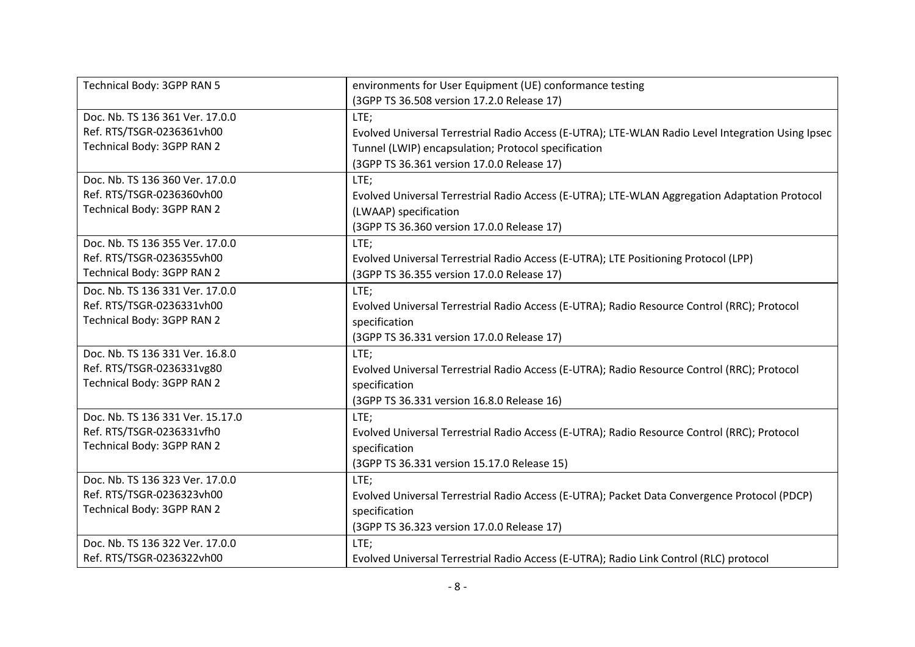| Technical Body: 3GPP RAN 5       | environments for User Equipment (UE) conformance testing                                          |
|----------------------------------|---------------------------------------------------------------------------------------------------|
|                                  | (3GPP TS 36.508 version 17.2.0 Release 17)                                                        |
| Doc. Nb. TS 136 361 Ver. 17.0.0  | LTE;                                                                                              |
| Ref. RTS/TSGR-0236361vh00        | Evolved Universal Terrestrial Radio Access (E-UTRA); LTE-WLAN Radio Level Integration Using Ipsec |
| Technical Body: 3GPP RAN 2       | Tunnel (LWIP) encapsulation; Protocol specification                                               |
|                                  | (3GPP TS 36.361 version 17.0.0 Release 17)                                                        |
| Doc. Nb. TS 136 360 Ver. 17.0.0  | LTE;                                                                                              |
| Ref. RTS/TSGR-0236360vh00        | Evolved Universal Terrestrial Radio Access (E-UTRA); LTE-WLAN Aggregation Adaptation Protocol     |
| Technical Body: 3GPP RAN 2       | (LWAAP) specification                                                                             |
|                                  | (3GPP TS 36.360 version 17.0.0 Release 17)                                                        |
| Doc. Nb. TS 136 355 Ver. 17.0.0  | LTE:                                                                                              |
| Ref. RTS/TSGR-0236355vh00        | Evolved Universal Terrestrial Radio Access (E-UTRA); LTE Positioning Protocol (LPP)               |
| Technical Body: 3GPP RAN 2       | (3GPP TS 36.355 version 17.0.0 Release 17)                                                        |
| Doc. Nb. TS 136 331 Ver. 17.0.0  | LTE;                                                                                              |
| Ref. RTS/TSGR-0236331vh00        | Evolved Universal Terrestrial Radio Access (E-UTRA); Radio Resource Control (RRC); Protocol       |
| Technical Body: 3GPP RAN 2       | specification                                                                                     |
|                                  | (3GPP TS 36.331 version 17.0.0 Release 17)                                                        |
| Doc. Nb. TS 136 331 Ver. 16.8.0  | LTE;                                                                                              |
| Ref. RTS/TSGR-0236331vg80        | Evolved Universal Terrestrial Radio Access (E-UTRA); Radio Resource Control (RRC); Protocol       |
| Technical Body: 3GPP RAN 2       | specification                                                                                     |
|                                  | (3GPP TS 36.331 version 16.8.0 Release 16)                                                        |
| Doc. Nb. TS 136 331 Ver. 15.17.0 | LTE;                                                                                              |
| Ref. RTS/TSGR-0236331vfh0        | Evolved Universal Terrestrial Radio Access (E-UTRA); Radio Resource Control (RRC); Protocol       |
| Technical Body: 3GPP RAN 2       | specification                                                                                     |
|                                  | (3GPP TS 36.331 version 15.17.0 Release 15)                                                       |
| Doc. Nb. TS 136 323 Ver. 17.0.0  | LTE;                                                                                              |
| Ref. RTS/TSGR-0236323vh00        | Evolved Universal Terrestrial Radio Access (E-UTRA); Packet Data Convergence Protocol (PDCP)      |
| Technical Body: 3GPP RAN 2       | specification                                                                                     |
|                                  | (3GPP TS 36.323 version 17.0.0 Release 17)                                                        |
| Doc. Nb. TS 136 322 Ver. 17.0.0  | LTE;                                                                                              |
| Ref. RTS/TSGR-0236322vh00        | Evolved Universal Terrestrial Radio Access (E-UTRA); Radio Link Control (RLC) protocol            |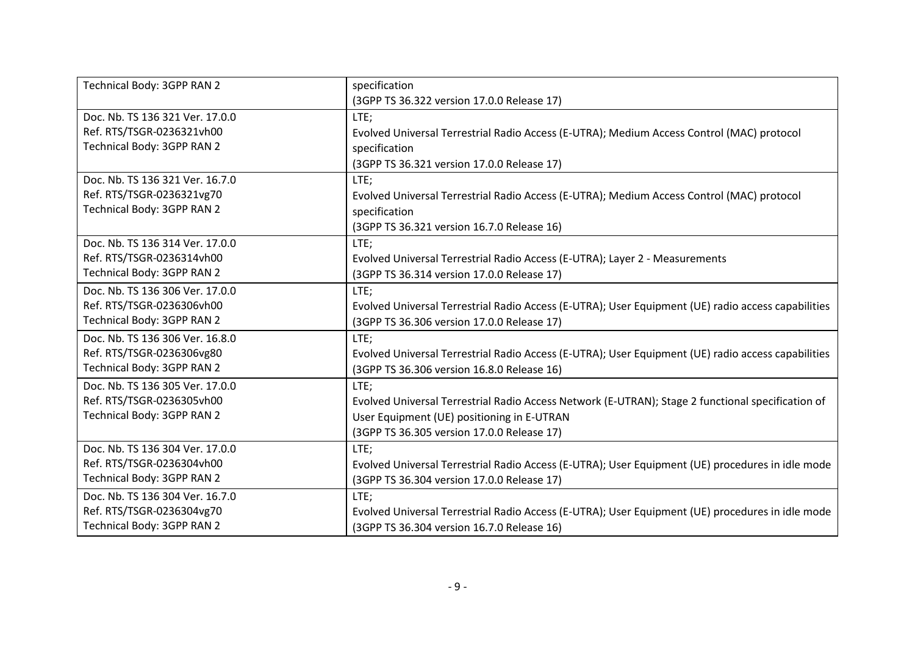| Technical Body: 3GPP RAN 2      | specification                                                                                      |
|---------------------------------|----------------------------------------------------------------------------------------------------|
|                                 | (3GPP TS 36.322 version 17.0.0 Release 17)                                                         |
| Doc. Nb. TS 136 321 Ver. 17.0.0 | LTE;                                                                                               |
| Ref. RTS/TSGR-0236321vh00       | Evolved Universal Terrestrial Radio Access (E-UTRA); Medium Access Control (MAC) protocol          |
| Technical Body: 3GPP RAN 2      | specification                                                                                      |
|                                 | (3GPP TS 36.321 version 17.0.0 Release 17)                                                         |
| Doc. Nb. TS 136 321 Ver. 16.7.0 | LTE;                                                                                               |
| Ref. RTS/TSGR-0236321vg70       | Evolved Universal Terrestrial Radio Access (E-UTRA); Medium Access Control (MAC) protocol          |
| Technical Body: 3GPP RAN 2      | specification                                                                                      |
|                                 | (3GPP TS 36.321 version 16.7.0 Release 16)                                                         |
| Doc. Nb. TS 136 314 Ver. 17.0.0 | LTE;                                                                                               |
| Ref. RTS/TSGR-0236314vh00       | Evolved Universal Terrestrial Radio Access (E-UTRA); Layer 2 - Measurements                        |
| Technical Body: 3GPP RAN 2      | (3GPP TS 36.314 version 17.0.0 Release 17)                                                         |
| Doc. Nb. TS 136 306 Ver. 17.0.0 | LTE;                                                                                               |
| Ref. RTS/TSGR-0236306vh00       | Evolved Universal Terrestrial Radio Access (E-UTRA); User Equipment (UE) radio access capabilities |
| Technical Body: 3GPP RAN 2      | (3GPP TS 36.306 version 17.0.0 Release 17)                                                         |
| Doc. Nb. TS 136 306 Ver. 16.8.0 | LTE;                                                                                               |
| Ref. RTS/TSGR-0236306vg80       | Evolved Universal Terrestrial Radio Access (E-UTRA); User Equipment (UE) radio access capabilities |
| Technical Body: 3GPP RAN 2      | (3GPP TS 36.306 version 16.8.0 Release 16)                                                         |
| Doc. Nb. TS 136 305 Ver. 17.0.0 | LTE;                                                                                               |
| Ref. RTS/TSGR-0236305vh00       | Evolved Universal Terrestrial Radio Access Network (E-UTRAN); Stage 2 functional specification of  |
| Technical Body: 3GPP RAN 2      | User Equipment (UE) positioning in E-UTRAN                                                         |
|                                 | (3GPP TS 36.305 version 17.0.0 Release 17)                                                         |
| Doc. Nb. TS 136 304 Ver. 17.0.0 | LTE;                                                                                               |
| Ref. RTS/TSGR-0236304vh00       | Evolved Universal Terrestrial Radio Access (E-UTRA); User Equipment (UE) procedures in idle mode   |
| Technical Body: 3GPP RAN 2      | (3GPP TS 36.304 version 17.0.0 Release 17)                                                         |
| Doc. Nb. TS 136 304 Ver. 16.7.0 | LTE;                                                                                               |
| Ref. RTS/TSGR-0236304vg70       | Evolved Universal Terrestrial Radio Access (E-UTRA); User Equipment (UE) procedures in idle mode   |
| Technical Body: 3GPP RAN 2      | (3GPP TS 36.304 version 16.7.0 Release 16)                                                         |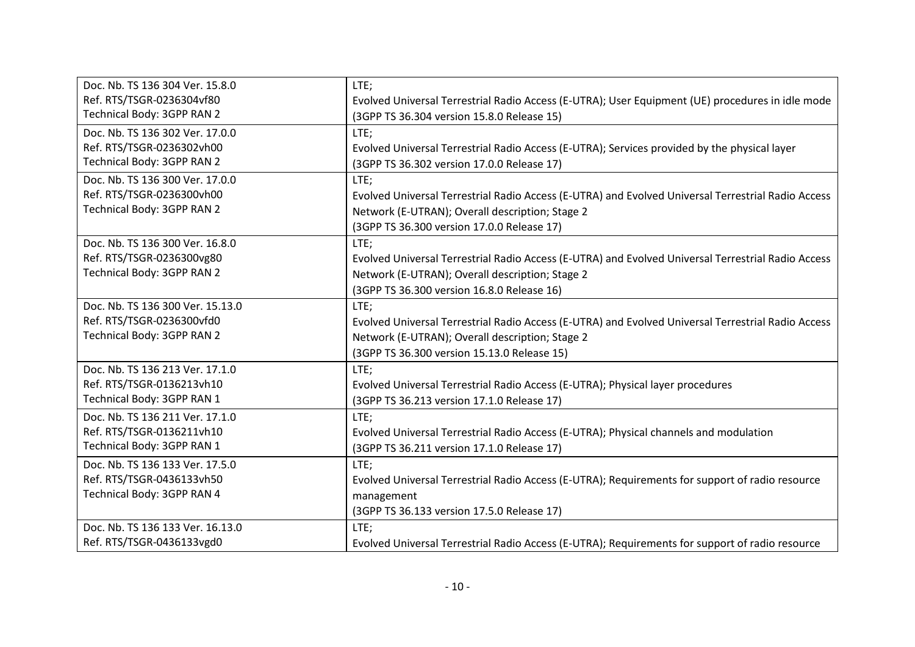| Doc. Nb. TS 136 304 Ver. 15.8.0  | LTE;                                                                                               |
|----------------------------------|----------------------------------------------------------------------------------------------------|
| Ref. RTS/TSGR-0236304vf80        | Evolved Universal Terrestrial Radio Access (E-UTRA); User Equipment (UE) procedures in idle mode   |
| Technical Body: 3GPP RAN 2       | (3GPP TS 36.304 version 15.8.0 Release 15)                                                         |
| Doc. Nb. TS 136 302 Ver. 17.0.0  | LTE;                                                                                               |
| Ref. RTS/TSGR-0236302vh00        | Evolved Universal Terrestrial Radio Access (E-UTRA); Services provided by the physical layer       |
| Technical Body: 3GPP RAN 2       | (3GPP TS 36.302 version 17.0.0 Release 17)                                                         |
| Doc. Nb. TS 136 300 Ver. 17.0.0  | LTE;                                                                                               |
| Ref. RTS/TSGR-0236300vh00        | Evolved Universal Terrestrial Radio Access (E-UTRA) and Evolved Universal Terrestrial Radio Access |
| Technical Body: 3GPP RAN 2       | Network (E-UTRAN); Overall description; Stage 2                                                    |
|                                  | (3GPP TS 36.300 version 17.0.0 Release 17)                                                         |
| Doc. Nb. TS 136 300 Ver. 16.8.0  | LTE;                                                                                               |
| Ref. RTS/TSGR-0236300vg80        | Evolved Universal Terrestrial Radio Access (E-UTRA) and Evolved Universal Terrestrial Radio Access |
| Technical Body: 3GPP RAN 2       | Network (E-UTRAN); Overall description; Stage 2                                                    |
|                                  | (3GPP TS 36.300 version 16.8.0 Release 16)                                                         |
| Doc. Nb. TS 136 300 Ver. 15.13.0 | LTE;                                                                                               |
| Ref. RTS/TSGR-0236300vfd0        | Evolved Universal Terrestrial Radio Access (E-UTRA) and Evolved Universal Terrestrial Radio Access |
| Technical Body: 3GPP RAN 2       | Network (E-UTRAN); Overall description; Stage 2                                                    |
|                                  | (3GPP TS 36.300 version 15.13.0 Release 15)                                                        |
| Doc. Nb. TS 136 213 Ver. 17.1.0  | LTE;                                                                                               |
| Ref. RTS/TSGR-0136213vh10        | Evolved Universal Terrestrial Radio Access (E-UTRA); Physical layer procedures                     |
| Technical Body: 3GPP RAN 1       | (3GPP TS 36.213 version 17.1.0 Release 17)                                                         |
| Doc. Nb. TS 136 211 Ver. 17.1.0  | LTE;                                                                                               |
| Ref. RTS/TSGR-0136211vh10        | Evolved Universal Terrestrial Radio Access (E-UTRA); Physical channels and modulation              |
| Technical Body: 3GPP RAN 1       | (3GPP TS 36.211 version 17.1.0 Release 17)                                                         |
| Doc. Nb. TS 136 133 Ver. 17.5.0  | LTE;                                                                                               |
| Ref. RTS/TSGR-0436133vh50        | Evolved Universal Terrestrial Radio Access (E-UTRA); Requirements for support of radio resource    |
| Technical Body: 3GPP RAN 4       | management                                                                                         |
|                                  | (3GPP TS 36.133 version 17.5.0 Release 17)                                                         |
| Doc. Nb. TS 136 133 Ver. 16.13.0 | LTE;                                                                                               |
| Ref. RTS/TSGR-0436133vgd0        | Evolved Universal Terrestrial Radio Access (E-UTRA); Requirements for support of radio resource    |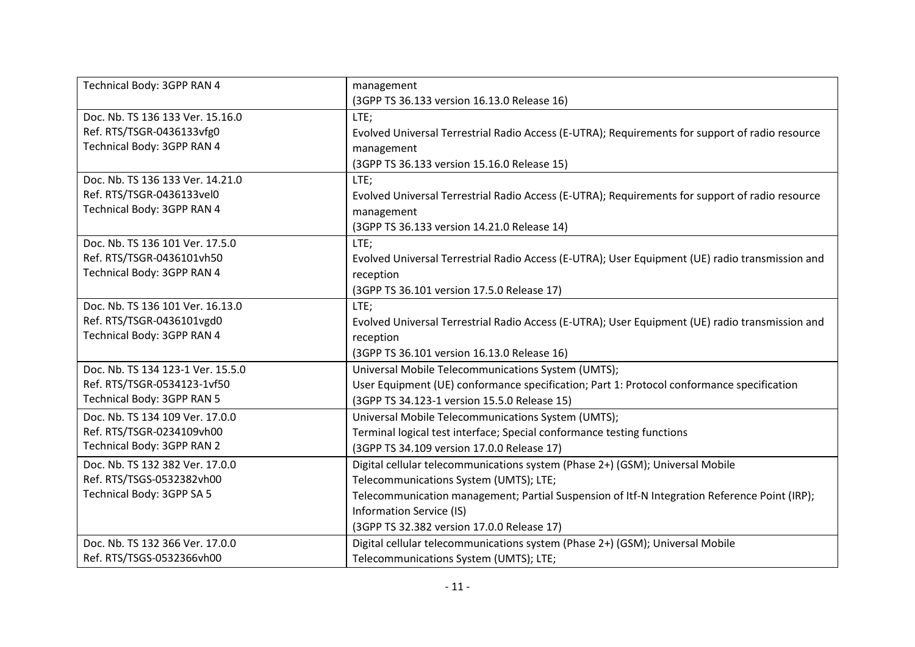| Technical Body: 3GPP RAN 4        | management                                                                                      |
|-----------------------------------|-------------------------------------------------------------------------------------------------|
|                                   | (3GPP TS 36.133 version 16.13.0 Release 16)                                                     |
| Doc. Nb. TS 136 133 Ver. 15.16.0  | LTE;                                                                                            |
| Ref. RTS/TSGR-0436133vfg0         | Evolved Universal Terrestrial Radio Access (E-UTRA); Requirements for support of radio resource |
| Technical Body: 3GPP RAN 4        | management                                                                                      |
|                                   | (3GPP TS 36.133 version 15.16.0 Release 15)                                                     |
| Doc. Nb. TS 136 133 Ver. 14.21.0  | LTE;                                                                                            |
| Ref. RTS/TSGR-0436133vel0         | Evolved Universal Terrestrial Radio Access (E-UTRA); Requirements for support of radio resource |
| Technical Body: 3GPP RAN 4        | management                                                                                      |
|                                   | (3GPP TS 36.133 version 14.21.0 Release 14)                                                     |
| Doc. Nb. TS 136 101 Ver. 17.5.0   | LTE;                                                                                            |
| Ref. RTS/TSGR-0436101vh50         | Evolved Universal Terrestrial Radio Access (E-UTRA); User Equipment (UE) radio transmission and |
| Technical Body: 3GPP RAN 4        | reception                                                                                       |
|                                   | (3GPP TS 36.101 version 17.5.0 Release 17)                                                      |
| Doc. Nb. TS 136 101 Ver. 16.13.0  | LTE;                                                                                            |
| Ref. RTS/TSGR-0436101vgd0         | Evolved Universal Terrestrial Radio Access (E-UTRA); User Equipment (UE) radio transmission and |
| Technical Body: 3GPP RAN 4        | reception                                                                                       |
|                                   | (3GPP TS 36.101 version 16.13.0 Release 16)                                                     |
| Doc. Nb. TS 134 123-1 Ver. 15.5.0 | Universal Mobile Telecommunications System (UMTS);                                              |
| Ref. RTS/TSGR-0534123-1vf50       | User Equipment (UE) conformance specification; Part 1: Protocol conformance specification       |
| Technical Body: 3GPP RAN 5        | (3GPP TS 34.123-1 version 15.5.0 Release 15)                                                    |
| Doc. Nb. TS 134 109 Ver. 17.0.0   | Universal Mobile Telecommunications System (UMTS);                                              |
| Ref. RTS/TSGR-0234109vh00         | Terminal logical test interface; Special conformance testing functions                          |
| Technical Body: 3GPP RAN 2        | (3GPP TS 34.109 version 17.0.0 Release 17)                                                      |
| Doc. Nb. TS 132 382 Ver. 17.0.0   | Digital cellular telecommunications system (Phase 2+) (GSM); Universal Mobile                   |
| Ref. RTS/TSGS-0532382vh00         | Telecommunications System (UMTS); LTE;                                                          |
| Technical Body: 3GPP SA 5         | Telecommunication management; Partial Suspension of Itf-N Integration Reference Point (IRP);    |
|                                   | Information Service (IS)                                                                        |
|                                   | (3GPP TS 32.382 version 17.0.0 Release 17)                                                      |
| Doc. Nb. TS 132 366 Ver. 17.0.0   | Digital cellular telecommunications system (Phase 2+) (GSM); Universal Mobile                   |
| Ref. RTS/TSGS-0532366vh00         | Telecommunications System (UMTS); LTE;                                                          |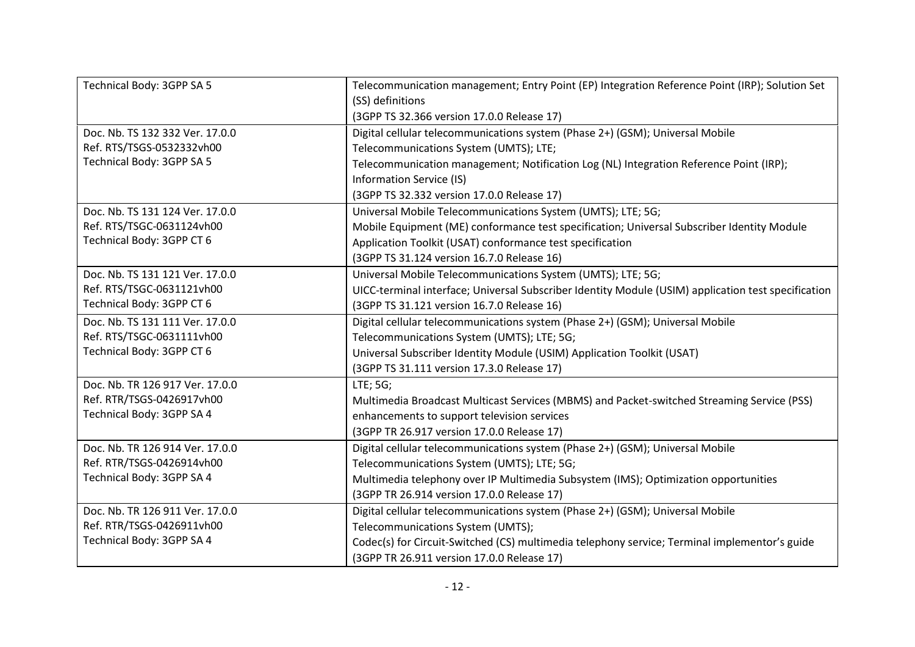| Technical Body: 3GPP SA 5       | Telecommunication management; Entry Point (EP) Integration Reference Point (IRP); Solution Set      |
|---------------------------------|-----------------------------------------------------------------------------------------------------|
|                                 | (SS) definitions                                                                                    |
|                                 | (3GPP TS 32.366 version 17.0.0 Release 17)                                                          |
| Doc. Nb. TS 132 332 Ver. 17.0.0 | Digital cellular telecommunications system (Phase 2+) (GSM); Universal Mobile                       |
| Ref. RTS/TSGS-0532332vh00       | Telecommunications System (UMTS); LTE;                                                              |
| Technical Body: 3GPP SA 5       | Telecommunication management; Notification Log (NL) Integration Reference Point (IRP);              |
|                                 | Information Service (IS)                                                                            |
|                                 | (3GPP TS 32.332 version 17.0.0 Release 17)                                                          |
| Doc. Nb. TS 131 124 Ver. 17.0.0 | Universal Mobile Telecommunications System (UMTS); LTE; 5G;                                         |
| Ref. RTS/TSGC-0631124vh00       | Mobile Equipment (ME) conformance test specification; Universal Subscriber Identity Module          |
| Technical Body: 3GPP CT 6       | Application Toolkit (USAT) conformance test specification                                           |
|                                 | (3GPP TS 31.124 version 16.7.0 Release 16)                                                          |
| Doc. Nb. TS 131 121 Ver. 17.0.0 | Universal Mobile Telecommunications System (UMTS); LTE; 5G;                                         |
| Ref. RTS/TSGC-0631121vh00       | UICC-terminal interface; Universal Subscriber Identity Module (USIM) application test specification |
| Technical Body: 3GPP CT 6       | (3GPP TS 31.121 version 16.7.0 Release 16)                                                          |
| Doc. Nb. TS 131 111 Ver. 17.0.0 | Digital cellular telecommunications system (Phase 2+) (GSM); Universal Mobile                       |
| Ref. RTS/TSGC-0631111vh00       | Telecommunications System (UMTS); LTE; 5G;                                                          |
| Technical Body: 3GPP CT 6       | Universal Subscriber Identity Module (USIM) Application Toolkit (USAT)                              |
|                                 | (3GPP TS 31.111 version 17.3.0 Release 17)                                                          |
| Doc. Nb. TR 126 917 Ver. 17.0.0 | LTE; 5G;                                                                                            |
| Ref. RTR/TSGS-0426917vh00       | Multimedia Broadcast Multicast Services (MBMS) and Packet-switched Streaming Service (PSS)          |
| Technical Body: 3GPP SA 4       | enhancements to support television services                                                         |
|                                 | (3GPP TR 26.917 version 17.0.0 Release 17)                                                          |
| Doc. Nb. TR 126 914 Ver. 17.0.0 | Digital cellular telecommunications system (Phase 2+) (GSM); Universal Mobile                       |
| Ref. RTR/TSGS-0426914vh00       | Telecommunications System (UMTS); LTE; 5G;                                                          |
| Technical Body: 3GPP SA 4       | Multimedia telephony over IP Multimedia Subsystem (IMS); Optimization opportunities                 |
|                                 | (3GPP TR 26.914 version 17.0.0 Release 17)                                                          |
| Doc. Nb. TR 126 911 Ver. 17.0.0 | Digital cellular telecommunications system (Phase 2+) (GSM); Universal Mobile                       |
| Ref. RTR/TSGS-0426911vh00       | Telecommunications System (UMTS);                                                                   |
| Technical Body: 3GPP SA 4       | Codec(s) for Circuit-Switched (CS) multimedia telephony service; Terminal implementor's guide       |
|                                 | (3GPP TR 26.911 version 17.0.0 Release 17)                                                          |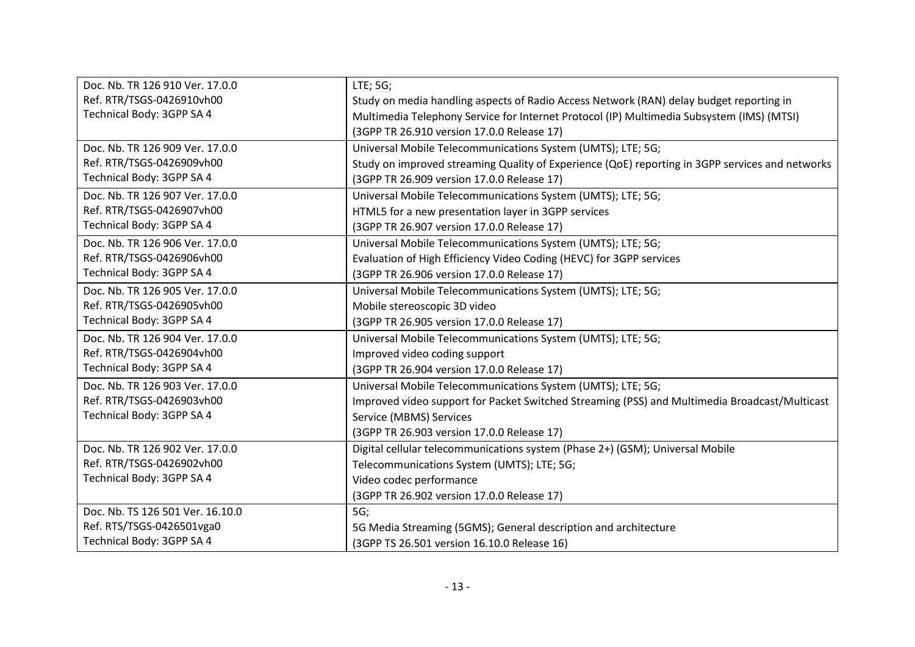| Doc. Nb. TR 126 910 Ver. 17.0.0  | LTE; 5G;                                                                                        |
|----------------------------------|-------------------------------------------------------------------------------------------------|
| Ref. RTR/TSGS-0426910vh00        | Study on media handling aspects of Radio Access Network (RAN) delay budget reporting in         |
| Technical Body: 3GPP SA 4        | Multimedia Telephony Service for Internet Protocol (IP) Multimedia Subsystem (IMS) (MTSI)       |
|                                  | (3GPP TR 26.910 version 17.0.0 Release 17)                                                      |
| Doc. Nb. TR 126 909 Ver. 17.0.0  | Universal Mobile Telecommunications System (UMTS); LTE; 5G;                                     |
| Ref. RTR/TSGS-0426909vh00        | Study on improved streaming Quality of Experience (QoE) reporting in 3GPP services and networks |
| Technical Body: 3GPP SA 4        | (3GPP TR 26.909 version 17.0.0 Release 17)                                                      |
| Doc. Nb. TR 126 907 Ver. 17.0.0  | Universal Mobile Telecommunications System (UMTS); LTE; 5G;                                     |
| Ref. RTR/TSGS-0426907vh00        | HTML5 for a new presentation layer in 3GPP services                                             |
| Technical Body: 3GPP SA 4        | (3GPP TR 26.907 version 17.0.0 Release 17)                                                      |
| Doc. Nb. TR 126 906 Ver. 17.0.0  | Universal Mobile Telecommunications System (UMTS); LTE; 5G;                                     |
| Ref. RTR/TSGS-0426906vh00        | Evaluation of High Efficiency Video Coding (HEVC) for 3GPP services                             |
| Technical Body: 3GPP SA 4        | (3GPP TR 26.906 version 17.0.0 Release 17)                                                      |
| Doc. Nb. TR 126 905 Ver. 17.0.0  | Universal Mobile Telecommunications System (UMTS); LTE; 5G;                                     |
| Ref. RTR/TSGS-0426905vh00        | Mobile stereoscopic 3D video                                                                    |
| Technical Body: 3GPP SA 4        | (3GPP TR 26.905 version 17.0.0 Release 17)                                                      |
| Doc. Nb. TR 126 904 Ver. 17.0.0  | Universal Mobile Telecommunications System (UMTS); LTE; 5G;                                     |
| Ref. RTR/TSGS-0426904vh00        | Improved video coding support                                                                   |
| Technical Body: 3GPP SA 4        | (3GPP TR 26.904 version 17.0.0 Release 17)                                                      |
| Doc. Nb. TR 126 903 Ver. 17.0.0  | Universal Mobile Telecommunications System (UMTS); LTE; 5G;                                     |
| Ref. RTR/TSGS-0426903vh00        | Improved video support for Packet Switched Streaming (PSS) and Multimedia Broadcast/Multicast   |
| Technical Body: 3GPP SA 4        | Service (MBMS) Services                                                                         |
|                                  | (3GPP TR 26.903 version 17.0.0 Release 17)                                                      |
| Doc. Nb. TR 126 902 Ver. 17.0.0  | Digital cellular telecommunications system (Phase 2+) (GSM); Universal Mobile                   |
| Ref. RTR/TSGS-0426902vh00        | Telecommunications System (UMTS); LTE; 5G;                                                      |
| Technical Body: 3GPP SA 4        | Video codec performance                                                                         |
|                                  | (3GPP TR 26.902 version 17.0.0 Release 17)                                                      |
| Doc. Nb. TS 126 501 Ver. 16.10.0 | 5G;                                                                                             |
| Ref. RTS/TSGS-0426501vga0        | 5G Media Streaming (5GMS); General description and architecture                                 |
| Technical Body: 3GPP SA 4        | (3GPP TS 26.501 version 16.10.0 Release 16)                                                     |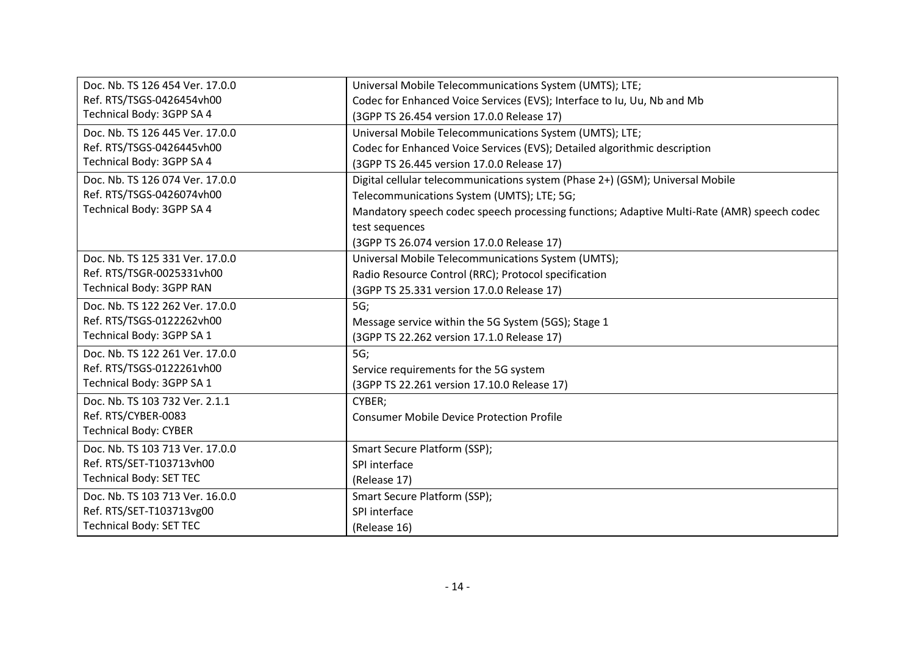| Doc. Nb. TS 126 454 Ver. 17.0.0 | Universal Mobile Telecommunications System (UMTS); LTE;                                    |
|---------------------------------|--------------------------------------------------------------------------------------------|
| Ref. RTS/TSGS-0426454vh00       | Codec for Enhanced Voice Services (EVS); Interface to Iu, Uu, Nb and Mb                    |
| Technical Body: 3GPP SA 4       | (3GPP TS 26.454 version 17.0.0 Release 17)                                                 |
| Doc. Nb. TS 126 445 Ver. 17.0.0 | Universal Mobile Telecommunications System (UMTS); LTE;                                    |
| Ref. RTS/TSGS-0426445vh00       | Codec for Enhanced Voice Services (EVS); Detailed algorithmic description                  |
| Technical Body: 3GPP SA 4       | (3GPP TS 26.445 version 17.0.0 Release 17)                                                 |
| Doc. Nb. TS 126 074 Ver. 17.0.0 | Digital cellular telecommunications system (Phase 2+) (GSM); Universal Mobile              |
| Ref. RTS/TSGS-0426074vh00       | Telecommunications System (UMTS); LTE; 5G;                                                 |
| Technical Body: 3GPP SA 4       | Mandatory speech codec speech processing functions; Adaptive Multi-Rate (AMR) speech codec |
|                                 | test sequences                                                                             |
|                                 | (3GPP TS 26.074 version 17.0.0 Release 17)                                                 |
| Doc. Nb. TS 125 331 Ver. 17.0.0 | Universal Mobile Telecommunications System (UMTS);                                         |
| Ref. RTS/TSGR-0025331vh00       | Radio Resource Control (RRC); Protocol specification                                       |
| Technical Body: 3GPP RAN        | (3GPP TS 25.331 version 17.0.0 Release 17)                                                 |
| Doc. Nb. TS 122 262 Ver. 17.0.0 | 5G;                                                                                        |
| Ref. RTS/TSGS-0122262vh00       | Message service within the 5G System (5GS); Stage 1                                        |
| Technical Body: 3GPP SA 1       | (3GPP TS 22.262 version 17.1.0 Release 17)                                                 |
| Doc. Nb. TS 122 261 Ver. 17.0.0 | 5G;                                                                                        |
| Ref. RTS/TSGS-0122261vh00       | Service requirements for the 5G system                                                     |
| Technical Body: 3GPP SA 1       | (3GPP TS 22.261 version 17.10.0 Release 17)                                                |
| Doc. Nb. TS 103 732 Ver. 2.1.1  | CYBER;                                                                                     |
| Ref. RTS/CYBER-0083             | <b>Consumer Mobile Device Protection Profile</b>                                           |
| <b>Technical Body: CYBER</b>    |                                                                                            |
| Doc. Nb. TS 103 713 Ver. 17.0.0 | Smart Secure Platform (SSP);                                                               |
| Ref. RTS/SET-T103713vh00        | SPI interface                                                                              |
| <b>Technical Body: SET TEC</b>  | (Release 17)                                                                               |
| Doc. Nb. TS 103 713 Ver. 16.0.0 | Smart Secure Platform (SSP);                                                               |
| Ref. RTS/SET-T103713vg00        | SPI interface                                                                              |
| <b>Technical Body: SET TEC</b>  | (Release 16)                                                                               |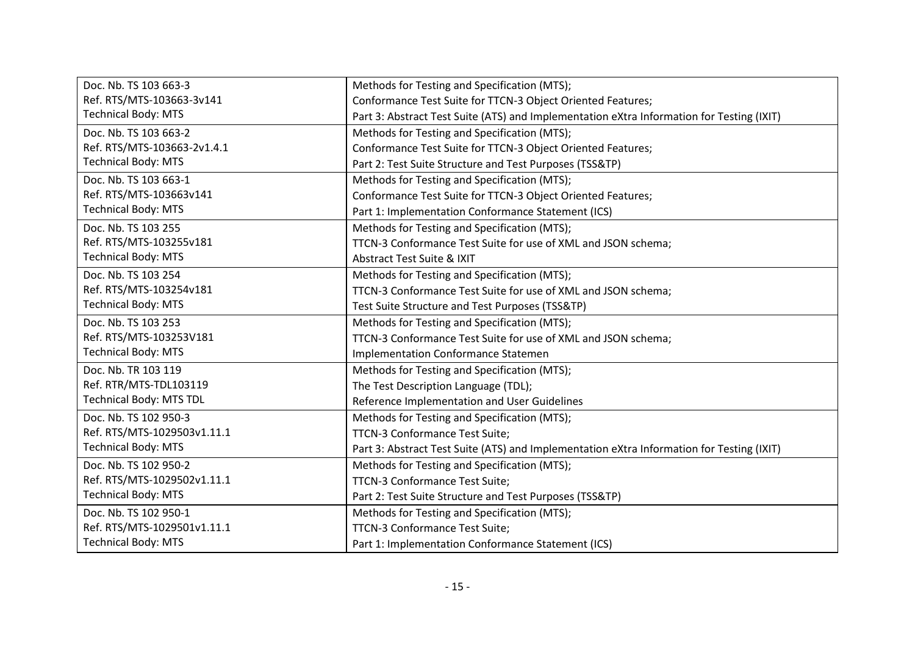| Doc. Nb. TS 103 663-3          | Methods for Testing and Specification (MTS);                                              |
|--------------------------------|-------------------------------------------------------------------------------------------|
| Ref. RTS/MTS-103663-3v141      | Conformance Test Suite for TTCN-3 Object Oriented Features;                               |
| <b>Technical Body: MTS</b>     | Part 3: Abstract Test Suite (ATS) and Implementation eXtra Information for Testing (IXIT) |
| Doc. Nb. TS 103 663-2          | Methods for Testing and Specification (MTS);                                              |
| Ref. RTS/MTS-103663-2v1.4.1    | Conformance Test Suite for TTCN-3 Object Oriented Features;                               |
| <b>Technical Body: MTS</b>     | Part 2: Test Suite Structure and Test Purposes (TSS&TP)                                   |
| Doc. Nb. TS 103 663-1          | Methods for Testing and Specification (MTS);                                              |
| Ref. RTS/MTS-103663v141        | Conformance Test Suite for TTCN-3 Object Oriented Features;                               |
| <b>Technical Body: MTS</b>     | Part 1: Implementation Conformance Statement (ICS)                                        |
| Doc. Nb. TS 103 255            | Methods for Testing and Specification (MTS);                                              |
| Ref. RTS/MTS-103255v181        | TTCN-3 Conformance Test Suite for use of XML and JSON schema;                             |
| <b>Technical Body: MTS</b>     | <b>Abstract Test Suite &amp; IXIT</b>                                                     |
| Doc. Nb. TS 103 254            | Methods for Testing and Specification (MTS);                                              |
| Ref. RTS/MTS-103254v181        | TTCN-3 Conformance Test Suite for use of XML and JSON schema;                             |
| <b>Technical Body: MTS</b>     | Test Suite Structure and Test Purposes (TSS&TP)                                           |
| Doc. Nb. TS 103 253            | Methods for Testing and Specification (MTS);                                              |
| Ref. RTS/MTS-103253V181        | TTCN-3 Conformance Test Suite for use of XML and JSON schema;                             |
| <b>Technical Body: MTS</b>     | <b>Implementation Conformance Statemen</b>                                                |
| Doc. Nb. TR 103 119            | Methods for Testing and Specification (MTS);                                              |
| Ref. RTR/MTS-TDL103119         | The Test Description Language (TDL);                                                      |
| <b>Technical Body: MTS TDL</b> | Reference Implementation and User Guidelines                                              |
| Doc. Nb. TS 102 950-3          | Methods for Testing and Specification (MTS);                                              |
| Ref. RTS/MTS-1029503v1.11.1    | TTCN-3 Conformance Test Suite;                                                            |
| <b>Technical Body: MTS</b>     | Part 3: Abstract Test Suite (ATS) and Implementation eXtra Information for Testing (IXIT) |
| Doc. Nb. TS 102 950-2          | Methods for Testing and Specification (MTS);                                              |
| Ref. RTS/MTS-1029502v1.11.1    | TTCN-3 Conformance Test Suite;                                                            |
| <b>Technical Body: MTS</b>     | Part 2: Test Suite Structure and Test Purposes (TSS&TP)                                   |
| Doc. Nb. TS 102 950-1          | Methods for Testing and Specification (MTS);                                              |
| Ref. RTS/MTS-1029501v1.11.1    | TTCN-3 Conformance Test Suite;                                                            |
| <b>Technical Body: MTS</b>     | Part 1: Implementation Conformance Statement (ICS)                                        |